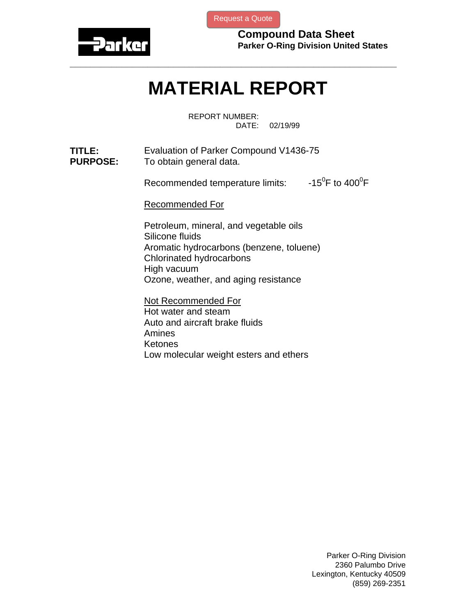

[Request a Quote](http://www.marcorubber.com/contact_quote.htm?material=Parker+V1436-75)

**Compound Data Sheet Parker O-Ring Division United States** 

## **MATERIAL REPORT**

**\_\_\_\_\_\_\_\_\_\_\_\_\_\_\_\_\_\_\_\_\_\_\_\_\_\_\_\_\_\_\_\_\_\_\_\_\_\_\_\_\_\_\_\_\_\_\_\_\_\_\_\_\_\_\_\_\_\_\_\_\_\_\_** 

REPORT NUMBER: DATE: 02/19/99

**TITLE:** Evaluation of Parker Compound V1436-75<br>**PURPOSE:** To obtain general data. To obtain general data.

> Recommended temperature limits: F to  $400^0$ F

Recommended For

Petroleum, mineral, and vegetable oils Silicone fluids Aromatic hydrocarbons (benzene, toluene) Chlorinated hydrocarbons High vacuum Ozone, weather, and aging resistance

Not Recommended For Hot water and steam Auto and aircraft brake fluids Amines Ketones Low molecular weight esters and ethers

> Parker O-Ring Division 2360 Palumbo Drive Lexington, Kentucky 40509 (859) 269-2351